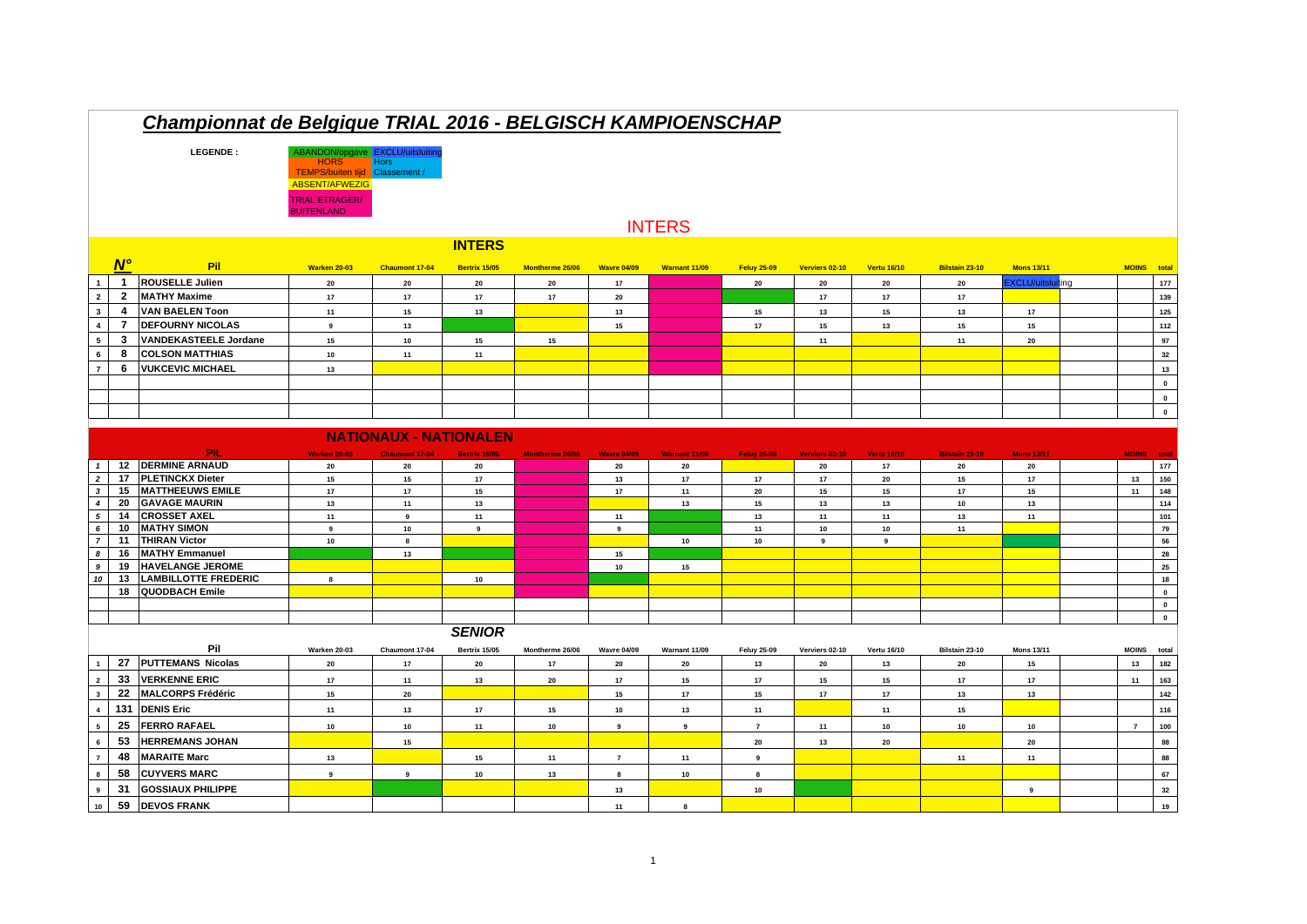| Championnat de Belgique TRIAL 2016 - BELGISCH KAMPIOENSCHAP |                               |                                            |                                                                                                                                                    |                             |                      |                 |                    |                      |                    |                |                    |                       |                          |  |                |              |
|-------------------------------------------------------------|-------------------------------|--------------------------------------------|----------------------------------------------------------------------------------------------------------------------------------------------------|-----------------------------|----------------------|-----------------|--------------------|----------------------|--------------------|----------------|--------------------|-----------------------|--------------------------|--|----------------|--------------|
|                                                             |                               | LEGENDE:                                   | ABANDON/opgave EXCLU/uitsluiting<br><b>HORS</b><br><b>TEMPS/buiten tiid</b><br><b>ABSENT/AFWEZIG</b><br><b>TRIAL ETRAGER/</b><br><b>BUITENLAND</b> | <b>Hors</b><br>Classement / |                      |                 |                    |                      |                    |                |                    |                       |                          |  |                |              |
|                                                             |                               |                                            |                                                                                                                                                    |                             |                      |                 |                    | <b>INTERS</b>        |                    |                |                    |                       |                          |  |                |              |
|                                                             |                               |                                            |                                                                                                                                                    |                             | <b>INTERS</b>        |                 |                    |                      |                    |                |                    |                       |                          |  |                |              |
|                                                             | $N^{\circ}$                   | Pil                                        | Warken 20-03                                                                                                                                       | Chaumont 17-04              | Bertrix 15/05        | Montherme 26/06 | <b>Wavre 04/09</b> | <b>Warnant 11/09</b> | <b>Feluy 25-09</b> | Verviers 02-10 | <b>Vertu 16/10</b> | Bilstain 23-10        | <b>Mons 13/11</b>        |  | <b>MOINS</b>   | total        |
|                                                             | $\mathbf{1}$                  | <b>ROUSELLE Julien</b>                     | 20                                                                                                                                                 | 20                          | ${\bf 20}$           | ${\bf 20}$      | 17                 |                      | ${\bf 20}$         | 20             | $20\,$             | 20                    | <b>EXCLU/uitsluiting</b> |  |                | 177          |
| $\overline{2}$                                              | $\overline{2}$                | <b>MATHY Maxime</b>                        | 17                                                                                                                                                 | 17                          | 17                   | 17              | 20                 |                      |                    | 17             | 17                 | 17                    |                          |  |                | 139          |
| $\mathbf{3}$                                                | $\overline{4}$                | <b>VAN BAELEN Toon</b>                     | 11                                                                                                                                                 | 15                          | 13                   |                 | 13                 |                      | 15                 | 13             | 15                 | 13                    | 17                       |  |                | 125          |
| $\overline{4}$                                              | $\overline{7}$                | <b>DEFOURNY NICOLAS</b>                    | $\boldsymbol{9}$                                                                                                                                   | $13$                        |                      |                 | 15                 |                      | $17\,$             | 15             | 13                 | 15                    | ${\bf 15}$               |  |                | 112          |
| 5                                                           | $\mathbf{3}$                  | <b>VANDEKASTEELE Jordane</b>               | 15                                                                                                                                                 | 10                          | 15                   | 15              |                    |                      |                    | 11             |                    | 11                    | 20                       |  |                | 97           |
| 6                                                           | 8                             | <b>COLSON MATTHIAS</b>                     | 10                                                                                                                                                 | 11                          | 11                   |                 |                    |                      |                    |                |                    |                       |                          |  |                | 32           |
| $\overline{7}$                                              | 6                             | <b>VUKCEVIC MICHAEL</b>                    | 13                                                                                                                                                 |                             |                      |                 |                    |                      |                    |                |                    |                       |                          |  |                | 13           |
|                                                             |                               |                                            |                                                                                                                                                    |                             |                      |                 |                    |                      |                    |                |                    |                       |                          |  |                | $\mathbf 0$  |
|                                                             |                               |                                            |                                                                                                                                                    |                             |                      |                 |                    |                      |                    |                |                    |                       |                          |  |                | $\mathbf{0}$ |
|                                                             |                               |                                            |                                                                                                                                                    |                             |                      |                 |                    |                      |                    |                |                    |                       |                          |  |                | $\mathbf{0}$ |
|                                                             |                               |                                            |                                                                                                                                                    |                             |                      |                 |                    |                      |                    |                |                    |                       |                          |  |                |              |
|                                                             | <b>NATIONAUX - NATIONALEN</b> |                                            |                                                                                                                                                    |                             |                      |                 |                    |                      |                    |                |                    |                       |                          |  |                |              |
|                                                             |                               | <b>PiL</b>                                 | <b>Warken 20-03</b>                                                                                                                                | <b>Chaumont 17-04</b>       | <b>Bertrix 15/05</b> | Montherme 26/06 | <b>Wavre 04/09</b> | Warnant 11/09        | <b>Feluy 25-09</b> | Verviers 02-10 | <b>Vertu 16/10</b> | <b>Bilstain 23-10</b> | <b>Mons 13/11</b>        |  | <b>MOINS</b>   | total        |
| $\mathbf{1}$                                                |                               | 12 DERMINE ARNAUD                          | 20                                                                                                                                                 | 20                          | 20                   |                 | 20                 | 20                   |                    | 20             | 17                 | 20                    | 20                       |  |                | 177          |
| $\overline{2}$                                              | 17                            | <b>PLETINCKX Dieter</b>                    | 15                                                                                                                                                 | 15                          | 17                   |                 | 13                 | 17                   | 17                 | 17             | 20                 | 15                    | 17                       |  | 13             | 150          |
| $\mathbf{3}$                                                | 15                            | <b>MATTHEEUWS EMILE</b>                    | $17\,$                                                                                                                                             | $17$                        | 15                   |                 | 17                 | 11                   | 20                 | 15             | 15                 | $17\,$                | 15                       |  | 11             | 148          |
| $\overline{4}$                                              | 20                            | <b>GAVAGE MAURIN</b>                       | 13                                                                                                                                                 | 11                          | 13                   |                 |                    | 13                   | 15                 | 13             | 13                 | 10                    | 13                       |  |                | 114          |
| 5                                                           | 14                            | <b>CROSSET AXEL</b>                        | 11                                                                                                                                                 | 9                           | 11                   |                 | 11                 |                      | 13                 | 11             | 11                 | 13                    | 11                       |  |                | 101          |
| 6<br>$\overline{7}$                                         | 10<br>11                      | <b>MATHY SIMON</b><br><b>THIRAN Victor</b> | 9<br>$10\,$                                                                                                                                        | $10\,$                      | $\boldsymbol{9}$     |                 | $\boldsymbol{9}$   |                      | 11<br>10           | 10<br>9        | 10<br>9            | 11                    |                          |  |                | 79<br>56     |
| 8                                                           | 16                            | <b>MATHY Emmanuel</b>                      |                                                                                                                                                    | 8<br>13                     |                      |                 | 15                 | 10                   |                    |                |                    |                       |                          |  |                | 28           |
| 9                                                           | 19                            | <b>HAVELANGE JEROME</b>                    |                                                                                                                                                    |                             |                      |                 | 10                 | 15                   |                    |                |                    |                       |                          |  |                | 25           |
| 10                                                          | 13                            | <b>LAMBILLOTTE FREDERIC</b>                | 8                                                                                                                                                  |                             | 10                   |                 |                    |                      |                    |                |                    |                       |                          |  |                | 18           |
|                                                             | 18                            | QUODBACH Emile                             |                                                                                                                                                    |                             |                      |                 |                    |                      |                    |                |                    |                       |                          |  |                | $\mathbf{0}$ |
|                                                             |                               |                                            |                                                                                                                                                    |                             |                      |                 |                    |                      |                    |                |                    |                       |                          |  |                | $\mathbf 0$  |
|                                                             |                               |                                            |                                                                                                                                                    |                             |                      |                 |                    |                      |                    |                |                    |                       |                          |  |                | $\mathbf 0$  |
|                                                             |                               |                                            |                                                                                                                                                    |                             | <b>SENIOR</b>        |                 |                    |                      |                    |                |                    |                       |                          |  |                |              |
|                                                             |                               | Pil                                        | Warken 20-03                                                                                                                                       | Chaumont 17-04              | Bertrix 15/05        | Montherme 26/06 | <b>Wavre 04/09</b> | Warnant 11/09        | <b>Feluy 25-09</b> | Verviers 02-10 | Vertu 16/10        | Bilstain 23-10        | <b>Mons 13/11</b>        |  | <b>MOINS</b>   | total        |
| $\overline{1}$                                              | 27                            | <b>PUTTEMANS Nicolas</b>                   | 20                                                                                                                                                 | 17                          | ${\bf 20}$           | 17              | 20                 | 20                   | 13                 | 20             | 13                 | 20                    | 15                       |  | 13             | 182          |
| $\overline{2}$                                              | 33                            | <b>VERKENNE ERIC</b>                       | 17                                                                                                                                                 | 11                          | 13                   | 20              | $17$               | 15                   | 17                 | 15             | 15                 | 17                    | 17                       |  | 11             | 163          |
| $\overline{\mathbf{3}}$                                     | 22                            | <b>MALCORPS Frédéric</b>                   | 15                                                                                                                                                 | 20                          |                      |                 | 15                 | 17                   | 15                 | 17             | 17                 | 13                    | 13                       |  |                | 142          |
| $\overline{4}$                                              | 131                           | <b>DENIS Eric</b>                          |                                                                                                                                                    |                             |                      |                 |                    |                      |                    |                |                    |                       |                          |  |                |              |
|                                                             |                               |                                            | 11                                                                                                                                                 | 13                          | 17                   | 15              | $10\,$             | 13                   | 11                 |                | 11                 | 15                    |                          |  |                | 116          |
| 5                                                           | 25                            | <b>FERRO RAFAEL</b>                        | 10                                                                                                                                                 | 10                          | 11                   | $10\,$          | $\boldsymbol{9}$   | $\overline{9}$       | $\overline{7}$     | 11             | 10                 | 10                    | 10                       |  | $\overline{7}$ | 100          |
| $6\phantom{1}$                                              | 53                            | <b>HERREMANS JOHAN</b>                     |                                                                                                                                                    | 15                          |                      |                 |                    |                      | ${\bf 20}$         | 13             | 20                 |                       | 20                       |  |                | 88           |
| $\overline{7}$                                              | 48                            | <b>MARAITE Marc</b>                        | 13                                                                                                                                                 |                             | $15\,$               | 11              | $\overline{7}$     | 11                   | $\boldsymbol{9}$   |                |                    | 11                    | 11                       |  |                | 88           |
| 8                                                           | 58                            | <b>CUYVERS MARC</b>                        | $\boldsymbol{9}$                                                                                                                                   | 9                           | 10                   | 13              | 8                  | 10                   | 8                  |                |                    |                       |                          |  |                | 67           |
| 9                                                           | 31                            | <b>GOSSIAUX PHILIPPE</b>                   |                                                                                                                                                    |                             |                      |                 | 13                 |                      | 10                 |                |                    |                       | 9                        |  |                | 32           |
| $10$                                                        | 59                            | <b>DEVOS FRANK</b>                         |                                                                                                                                                    |                             |                      |                 | 11                 | 8                    |                    |                |                    |                       |                          |  |                | 19           |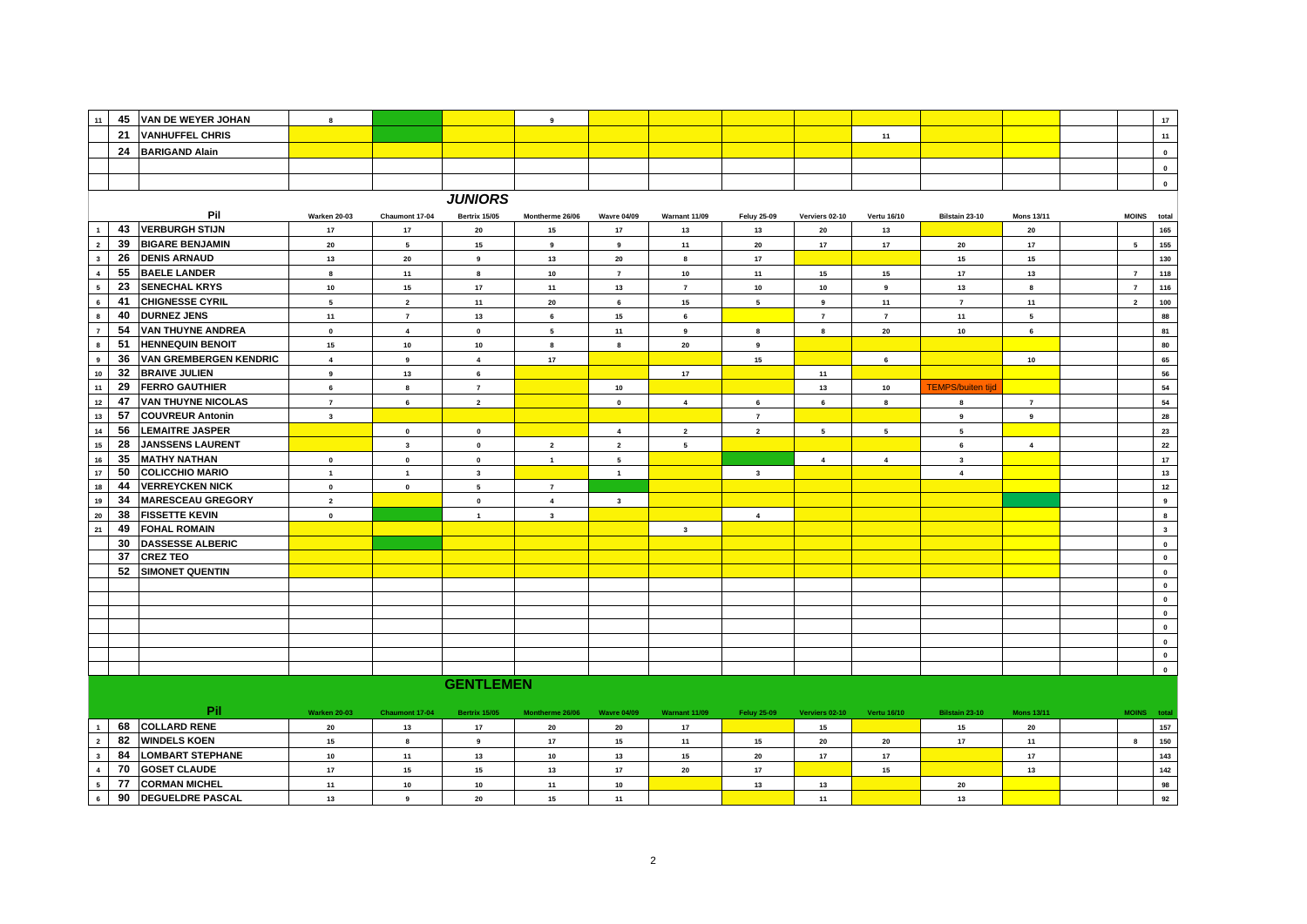| 11                                                                                                                                                                                                                                          | 45       | <b>VAN DE WEYER JOHAN</b>                      | 8                       |                         |                      | 9                       |                         |                  |                         |                  |                          |                          |                   |  |                | $17\,$           |
|---------------------------------------------------------------------------------------------------------------------------------------------------------------------------------------------------------------------------------------------|----------|------------------------------------------------|-------------------------|-------------------------|----------------------|-------------------------|-------------------------|------------------|-------------------------|------------------|--------------------------|--------------------------|-------------------|--|----------------|------------------|
|                                                                                                                                                                                                                                             | 21       | <b>VANHUFFEL CHRIS</b>                         |                         |                         |                      |                         |                         |                  |                         |                  | 11                       |                          |                   |  |                | 11               |
|                                                                                                                                                                                                                                             | 24       | <b>BARIGAND Alain</b>                          |                         |                         |                      |                         |                         |                  |                         |                  |                          |                          |                   |  |                | $\pmb{0}$        |
|                                                                                                                                                                                                                                             |          |                                                |                         |                         |                      |                         |                         |                  |                         |                  |                          |                          |                   |  |                | $\pmb{0}$        |
|                                                                                                                                                                                                                                             |          |                                                |                         |                         |                      |                         |                         |                  |                         |                  |                          |                          |                   |  |                | $\mathbf{0}$     |
|                                                                                                                                                                                                                                             |          |                                                |                         |                         | <b>JUNIORS</b>       |                         |                         |                  |                         |                  |                          |                          |                   |  |                |                  |
| Pil<br><b>Warken 20-03</b><br>Chaumont 17-04<br><b>Bertrix 15/05</b><br>Montherme 26/06<br><b>Wavre 04/09</b><br>Warnant 11/09<br><b>Feluy 25-09</b><br>Verviers 02-10<br>Vertu 16/10<br>Bilstain 23-10<br><b>Mons 13/11</b><br>MOINS total |          |                                                |                         |                         |                      |                         |                         |                  |                         |                  |                          |                          |                   |  |                |                  |
|                                                                                                                                                                                                                                             | 43       | <b>VERBURGH STIJN</b>                          | 17                      | 17                      | $20\,$               | 15                      | 17                      | 13               | 13                      | ${\bf 20}$       | 13                       |                          | 20                |  |                | 165              |
| $\mathbf 2$                                                                                                                                                                                                                                 | 39       | <b>BIGARE BENJAMIN</b>                         | 20                      | $5\phantom{a}$          | 15                   | $\boldsymbol{9}$        | $\boldsymbol{9}$        | 11               | ${\bf 20}$              | $17$             | 17                       | 20                       | $17\,$            |  | $\sqrt{5}$     | 155              |
| $\overline{\mathbf{3}}$                                                                                                                                                                                                                     | 26       | <b>DENIS ARNAUD</b>                            | 13                      | 20                      | $\boldsymbol{9}$     | 13                      | 20                      | 8                | 17                      |                  |                          | 15                       | 15                |  |                | 130              |
| $\boldsymbol{4}$                                                                                                                                                                                                                            | 55       | <b>BAELE LANDER</b>                            | $\bf{8}$                | 11                      | 8                    | 10                      | $\bf 7$                 | $10\,$           | 11                      | 15               | 15                       | $17$                     | 13                |  | $\overline{7}$ | 118              |
| $\overline{\phantom{a}}$                                                                                                                                                                                                                    | 23       | <b>SENECHAL KRYS</b>                           | 10                      | 15                      | 17                   | 11                      | 13                      | $\overline{7}$   | $10\,$                  | $10\,$           | $\boldsymbol{9}$         | 13                       | 8                 |  | $\overline{7}$ | 116              |
| $\,$ 6                                                                                                                                                                                                                                      | 41       | <b>CHIGNESSE CYRIL</b>                         | 5                       | $\mathbf{2}$            | 11                   | ${\bf 20}$              | 6                       | 15               | $5\phantom{a}$          | $\boldsymbol{9}$ | 11                       | $\overline{7}$           | 11                |  | $\overline{2}$ | ${\bf 100}$      |
| $\bf{8}$                                                                                                                                                                                                                                    | 40       | <b>DURNEZ JENS</b>                             | 11                      | $\overline{7}$          | 13                   | $\bf 6$                 | 15                      | 6                |                         | $\overline{7}$   | $\overline{7}$           | 11                       | ${\bf 5}$         |  |                | 88               |
| $\boldsymbol{7}$                                                                                                                                                                                                                            | 54       | <b>VAN THUYNE ANDREA</b>                       | $\pmb{0}$               | $\overline{\mathbf{4}}$ | $\pmb{0}$            | ${\bf 5}$               | 11                      | $\boldsymbol{9}$ | 8                       | $\bf{8}$         | 20                       | 10                       | $\bf 6$           |  |                | 81               |
| $\bf8$                                                                                                                                                                                                                                      | 51       | <b>HENNEQUIN BENOIT</b>                        | 15                      | $10\,$                  | 10                   | 8                       | 8                       | 20               | $\boldsymbol{9}$        |                  |                          |                          |                   |  |                | 80               |
| 9                                                                                                                                                                                                                                           | 36       | <b>VAN GREMBERGEN KENDRIC</b>                  | $\overline{\mathbf{4}}$ | 9                       | $\overline{4}$       | 17                      |                         |                  | 15                      |                  | 6                        |                          | 10                |  |                | 65               |
| $10$                                                                                                                                                                                                                                        | 32       | <b>BRAIVE JULIEN</b>                           | $\overline{9}$          | 13                      | $6\phantom{.0}$      |                         |                         | 17               |                         | 11               |                          |                          |                   |  |                | 56               |
| 11                                                                                                                                                                                                                                          | 29       | <b>FERRO GAUTHIER</b>                          | 6                       | 8                       | $\overline{7}$       |                         | 10                      |                  |                         | 13               | 10                       | <b>TEMPS/buiten tijd</b> |                   |  |                | 54               |
| $12\,$                                                                                                                                                                                                                                      | 47       | <b>VAN THUYNE NICOLAS</b>                      | $\overline{7}$          | 6                       | $\overline{2}$       |                         | $\mathbf{0}$            | $\overline{4}$   | $6\phantom{.0}$         | 6                | 8                        | $\bf8$                   | $\overline{7}$    |  |                | 54               |
| 13                                                                                                                                                                                                                                          | 57       | <b>COUVREUR Antonin</b>                        | $\mathbf{3}$            |                         |                      |                         |                         |                  | $\overline{7}$          |                  |                          | $\boldsymbol{9}$         | $\boldsymbol{9}$  |  |                | 28               |
| $14$                                                                                                                                                                                                                                        | 56       | <b>LEMAITRE JASPER</b>                         |                         | $\pmb{0}$               | $\pmb{0}$            |                         | $\overline{4}$          | $\overline{2}$   | $\overline{2}$          | $5\overline{5}$  | $\overline{\phantom{a}}$ | $\sqrt{5}$               |                   |  |                | 23               |
| $15\,$                                                                                                                                                                                                                                      | 28       | <b>JANSSENS LAURENT</b>                        |                         | $\mathbf{3}$            | $\pmb{0}$            | $\mathbf 2$             | $\overline{2}$          | $5\overline{5}$  |                         |                  |                          | 6                        | $\overline{4}$    |  |                | 22               |
| 16                                                                                                                                                                                                                                          | 35       | <b>MATHY NATHAN</b>                            | $\pmb{0}$               | $\pmb{0}$               | $\pmb{0}$            | $\overline{1}$          | 5                       |                  |                         | $\overline{4}$   | $\overline{4}$           | $\mathbf{3}$             |                   |  |                | 17               |
| $17\,$                                                                                                                                                                                                                                      | 50       | <b>COLICCHIO MARIO</b>                         | $\mathbf{1}$            | $\mathbf{1}$            | $\mathbf{3}$         |                         | $\overline{1}$          |                  | $\overline{\mathbf{3}}$ |                  |                          | $\overline{4}$           |                   |  |                | $13$             |
| ${\bf 18}$                                                                                                                                                                                                                                  | 44       | <b>VERREYCKEN NICK</b>                         | $\mathbf 0$             | $\pmb{0}$               | $5\overline{5}$      | $\overline{7}$          |                         |                  |                         |                  |                          |                          |                   |  |                | $\mathbf{12}$    |
| 19                                                                                                                                                                                                                                          | 34       | <b>MARESCEAU GREGORY</b>                       | $\overline{2}$          |                         | $\pmb{0}$            | $\overline{\mathbf{4}}$ | $\overline{\mathbf{3}}$ |                  |                         |                  |                          |                          |                   |  |                | $\boldsymbol{9}$ |
| 20                                                                                                                                                                                                                                          | 38       | <b>FISSETTE KEVIN</b>                          | $\pmb{0}$               |                         | $\mathbf{1}$         | $\mathbf{3}$            |                         |                  | $\overline{4}$          |                  |                          |                          |                   |  |                | $\bf8$           |
| ${\bf 21}$                                                                                                                                                                                                                                  | 49       | <b>FOHAL ROMAIN</b>                            |                         |                         |                      |                         |                         | $\mathbf{3}$     |                         |                  |                          |                          |                   |  |                | $\mathbf{3}$     |
|                                                                                                                                                                                                                                             | 30       | <b>DASSESSE ALBERIC</b>                        |                         |                         |                      |                         |                         |                  |                         |                  |                          |                          |                   |  |                | $\mathbf 0$      |
|                                                                                                                                                                                                                                             | 37       | <b>CREZ TEO</b>                                |                         |                         |                      |                         |                         |                  |                         |                  |                          |                          |                   |  |                | $\mathbf 0$      |
|                                                                                                                                                                                                                                             | 52       | <b>SIMONET QUENTIN</b>                         |                         |                         |                      |                         |                         |                  |                         |                  |                          |                          |                   |  |                | $\pmb{0}$        |
|                                                                                                                                                                                                                                             |          |                                                |                         |                         |                      |                         |                         |                  |                         |                  |                          |                          |                   |  |                | $\mathbf 0$      |
|                                                                                                                                                                                                                                             |          |                                                |                         |                         |                      |                         |                         |                  |                         |                  |                          |                          |                   |  |                | $\pmb{0}$        |
|                                                                                                                                                                                                                                             |          |                                                |                         |                         |                      |                         |                         |                  |                         |                  |                          |                          |                   |  |                | $\pmb{0}$        |
|                                                                                                                                                                                                                                             |          |                                                |                         |                         |                      |                         |                         |                  |                         |                  |                          |                          |                   |  |                | $\mathbf 0$      |
|                                                                                                                                                                                                                                             |          |                                                |                         |                         |                      |                         |                         |                  |                         |                  |                          |                          |                   |  |                | $\mathbf 0$      |
|                                                                                                                                                                                                                                             |          |                                                |                         |                         |                      |                         |                         |                  |                         |                  |                          |                          |                   |  |                | $\mathbf 0$      |
|                                                                                                                                                                                                                                             |          |                                                |                         |                         |                      |                         |                         |                  |                         |                  |                          |                          |                   |  |                | $\pmb{0}$        |
|                                                                                                                                                                                                                                             |          |                                                |                         |                         | <b>GENTLEMEN</b>     |                         |                         |                  |                         |                  |                          |                          |                   |  |                |                  |
|                                                                                                                                                                                                                                             |          |                                                |                         |                         |                      |                         |                         |                  |                         |                  |                          |                          |                   |  |                |                  |
|                                                                                                                                                                                                                                             |          | Pil                                            | <b>Warken 20-03</b>     | Chaumont 17-04          | <b>Bertrix 15/05</b> | Montherme 26/06         | <b>Wavre 04/09</b>      | Warnant 11/09    | <b>Feluy 25-09</b>      | Verviers 02-10   | <b>Vertu 16/10</b>       | Bilstain 23-10           | <b>Mons 13/11</b> |  | MOINS total    |                  |
|                                                                                                                                                                                                                                             | 68       | <b>COLLARD RENE</b>                            | 20                      | 13                      | 17                   | 20                      | 20                      | 17               |                         | 15               |                          | 15                       | 20                |  |                | 157              |
| $\overline{2}$                                                                                                                                                                                                                              | 82       | <b>WINDELS KOEN</b><br><b>LOMBART STEPHANE</b> | 15                      | 8                       | 9                    | 17                      | 15                      | 11               | 15                      | 20               | 20                       | 17                       | 11                |  | 8              | 150              |
| $\overline{\mathbf{3}}$                                                                                                                                                                                                                     | 84<br>70 |                                                | 10                      | 11                      | 13                   | $10\,$                  | 13                      | ${\bf 15}$       | ${\bf 20}$              | $17\,$           | $17\,$                   |                          | 17                |  |                | 143              |
| $\overline{4}$<br>${\bf 5}$                                                                                                                                                                                                                 | 77       | <b>GOSET CLAUDE</b><br><b>CORMAN MICHEL</b>    | $17$<br>11              | ${\bf 15}$              | 15                   | 13                      | 17                      | 20               | 17                      |                  | 15                       | 20                       | 13                |  |                | 142<br>98        |
| $6\phantom{a}$                                                                                                                                                                                                                              | 90       | <b>DEGUELDRE PASCAL</b>                        |                         | ${\bf 10}$              | 10                   | 11                      | 10                      |                  | 13                      | 13               |                          |                          |                   |  |                | 92               |
|                                                                                                                                                                                                                                             |          |                                                | 13                      | 9                       | 20                   | 15                      | 11                      |                  |                         | 11               |                          | 13                       |                   |  |                |                  |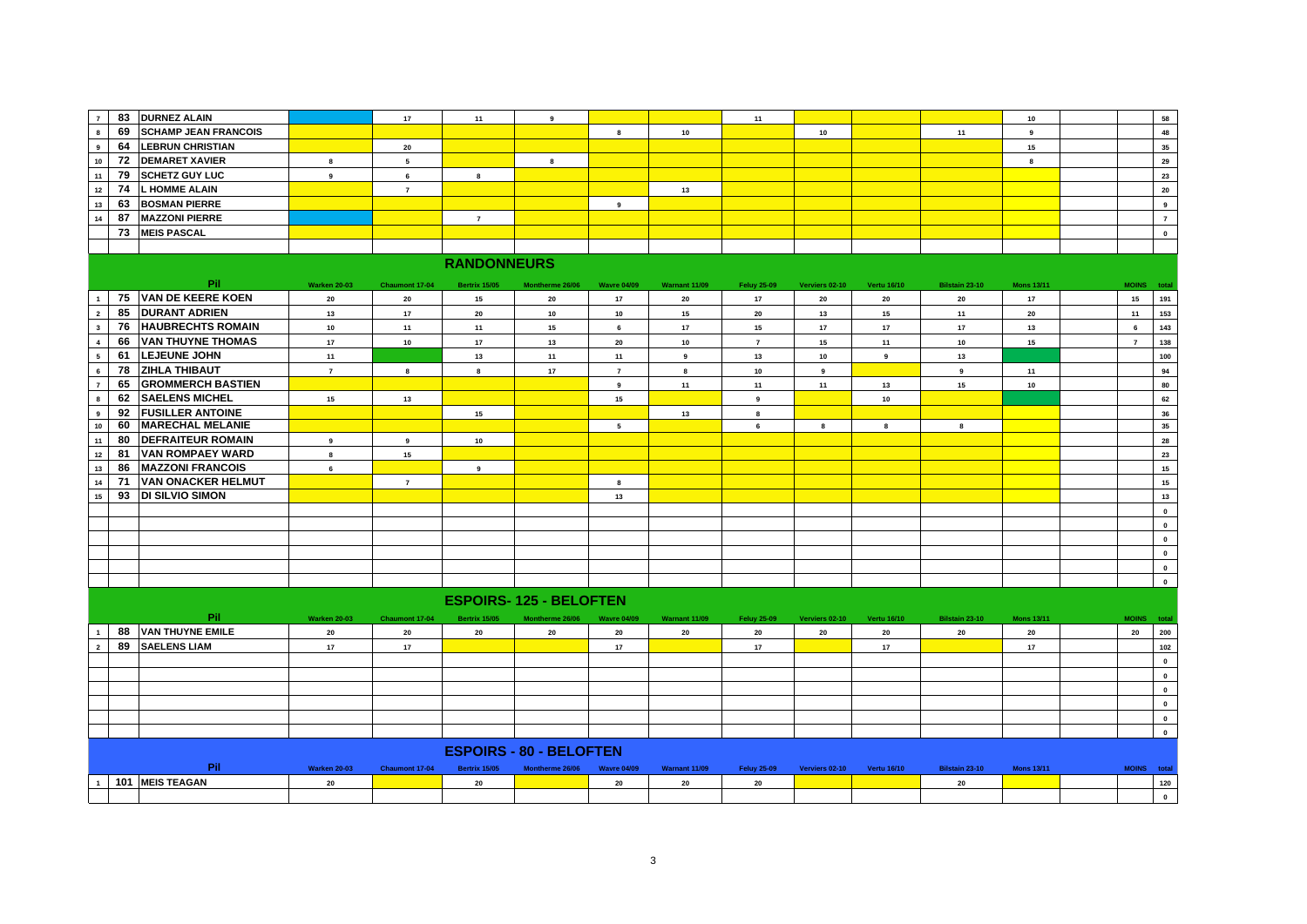| $\overline{7}$          | 83 | <b>DURNEZ ALAIN</b>         |                     | 17              | 11                   | 9                              |                    |               | 11                 |                  |                    |                  | 10                |                 | 58               |
|-------------------------|----|-----------------------------|---------------------|-----------------|----------------------|--------------------------------|--------------------|---------------|--------------------|------------------|--------------------|------------------|-------------------|-----------------|------------------|
| 8                       | 69 | <b>SCHAMP JEAN FRANCOIS</b> |                     |                 |                      |                                | $\bf{8}$           | 10            |                    | 10               |                    | 11               | 9                 |                 | 48               |
| $\overline{9}$          | 64 | <b>LEBRUN CHRISTIAN</b>     |                     | 20              |                      |                                |                    |               |                    |                  |                    |                  | 15                |                 | 35               |
| $10$                    | 72 | <b>DEMARET XAVIER</b>       | 8                   | $5\overline{5}$ |                      | $\bf{8}$                       |                    |               |                    |                  |                    |                  | $\bf{8}$          |                 | 29               |
| 11                      | 79 | <b>SCHETZ GUY LUC</b>       | 9                   | $6\phantom{a}$  | 8                    |                                |                    |               |                    |                  |                    |                  |                   |                 | 23               |
| 12                      | 74 | <b>L HOMME ALAIN</b>        |                     | $\overline{7}$  |                      |                                |                    | 13            |                    |                  |                    |                  |                   |                 | 20               |
| $13$                    | 63 | <b>BOSMAN PIERRE</b>        |                     |                 |                      |                                | $_{9}$             |               |                    |                  |                    |                  |                   |                 | $\overline{9}$   |
| 14                      | 87 | <b>MAZZONI PIERRE</b>       |                     |                 | $\overline{7}$       |                                |                    |               |                    |                  |                    |                  |                   |                 | $\overline{7}$   |
|                         | 73 | <b>MEIS PASCAL</b>          |                     |                 |                      |                                |                    |               |                    |                  |                    |                  |                   |                 | $\mathbf{0}$     |
|                         |    |                             |                     |                 |                      |                                |                    |               |                    |                  |                    |                  |                   |                 |                  |
|                         |    |                             |                     |                 | <b>RANDONNEURS</b>   |                                |                    |               |                    |                  |                    |                  |                   |                 |                  |
|                         |    |                             |                     |                 |                      |                                |                    |               |                    |                  |                    |                  |                   |                 |                  |
|                         |    | <b>Pil</b>                  | <b>Warken 20-03</b> | Chaumont 17-04  | Bertrix 15/05        | Montherme 26/06                | <b>Wavre 04/09</b> | Warnant 11/09 | <b>Feluy 25-09</b> | Verviers 02-10   | <b>Vertu 16/10</b> | Bilstain 23-10   | <b>Mons 13/11</b> | MOINS total     |                  |
|                         |    | 75 VAN DE KEERE KOEN        | ${\bf 20}$          | 20              | 15                   | ${\bf 20}$                     | 17                 | 20            | 17 <sup>2</sup>    | 20               | 20                 | 20               | 17                | 15              | 191              |
| $\overline{2}$          | 85 | <b>DURANT ADRIEN</b>        | 13                  | 17              | 20                   | 10                             | 10                 | 15            | $20\,$             | 13               | 15                 | 11               | 20                | 11              | 153              |
| $\overline{\mathbf{3}}$ | 76 | <b>HAUBRECHTS ROMAIN</b>    | 10                  | 11              | 11                   | 15                             | $\bf{6}$           | 17            | 15                 | $17$             | 17                 | 17               | 13                | $6\overline{6}$ | 143              |
| $\overline{4}$          | 66 | <b>VAN THUYNE THOMAS</b>    | 17                  | 10              | 17                   | $13$                           | ${\bf 20}$         | 10            | $\overline{7}$     | 15               | 11                 | 10               | 15                | $\overline{7}$  | 138              |
| 5                       | 61 | <b>LEJEUNE JOHN</b>         | 11                  |                 | 13                   | $11$                           | 11                 | 9             | 13                 | $10\,$           | 9                  | 13               |                   |                 | 100              |
| $6\phantom{a}$          | 78 | <b>ZIHLA THIBAUT</b>        | $\overline{7}$      | $\bf{8}$        | 8                    | $17$                           | $\overline{7}$     | 8             | $10\,$             | $\boldsymbol{9}$ |                    | $\boldsymbol{9}$ | 11                |                 | 94               |
| $\overline{7}$          | 65 | <b>GROMMERCH BASTIEN</b>    |                     |                 |                      |                                | $_{9}$             | 11            | 11                 | 11               | 13                 | 15               | 10                |                 | 80               |
| 8                       | 62 | <b>SAELENS MICHEL</b>       | 15                  | 13              |                      |                                | 15                 |               | $\mathbf 9$        |                  | 10                 |                  |                   |                 | 62               |
| $\overline{9}$          | 92 | <b>FUSILLER ANTOINE</b>     |                     |                 | 15                   |                                |                    | 13            | 8                  |                  |                    |                  |                   |                 | 36               |
| $10$                    | 60 | <b>MARECHAL MELANIE</b>     |                     |                 |                      |                                | ${\bf 5}$          |               | $\bf{6}$           | 8                | 8                  | 8                |                   |                 | 35               |
| 11                      | 80 | <b>DEFRAITEUR ROMAIN</b>    | 9                   | 9               | 10                   |                                |                    |               |                    |                  |                    |                  |                   |                 | 28               |
| 12                      | 81 | <b>VAN ROMPAEY WARD</b>     | 8                   | 15              |                      |                                |                    |               |                    |                  |                    |                  |                   |                 | 23               |
| 13                      | 86 | <b>MAZZONI FRANCOIS</b>     | $6\overline{6}$     |                 | 9                    |                                |                    |               |                    |                  |                    |                  |                   |                 | 15               |
| 14                      | 71 | <b>VAN ONACKER HELMUT</b>   |                     | $\overline{7}$  |                      |                                | 8                  |               |                    |                  |                    |                  |                   |                 | 15 <sup>15</sup> |
| 15                      | 93 | <b>DI SILVIO SIMON</b>      |                     |                 |                      |                                | 13                 |               |                    |                  |                    |                  |                   |                 | $13$             |
|                         |    |                             |                     |                 |                      |                                |                    |               |                    |                  |                    |                  |                   |                 | $\mathbf{0}$     |
|                         |    |                             |                     |                 |                      |                                |                    |               |                    |                  |                    |                  |                   |                 | $\mathbf 0$      |
|                         |    |                             |                     |                 |                      |                                |                    |               |                    |                  |                    |                  |                   |                 | $\mathbf{0}$     |
|                         |    |                             |                     |                 |                      |                                |                    |               |                    |                  |                    |                  |                   |                 | $\mathbf{0}$     |
|                         |    |                             |                     |                 |                      |                                |                    |               |                    |                  |                    |                  |                   |                 | $\mathbf{0}$     |
|                         |    |                             |                     |                 |                      |                                |                    |               |                    |                  |                    |                  |                   |                 | $\mathbf 0$      |
|                         |    |                             |                     |                 |                      | <b>ESPOIRS-125 - BELOFTEN</b>  |                    |               |                    |                  |                    |                  |                   |                 |                  |
|                         |    | Pil                         | <b>Warken 20-03</b> | Chaumont 17-04  | <b>Bertrix 15/05</b> | Montherme 26/06                | <b>Wavre 04/09</b> | Warnant 11/09 | <b>Feluy 25-09</b> | Verviers 02-10   | <b>Vertu 16/10</b> | Bilstain 23-10   | <b>Mons 13/11</b> | MOINS total     |                  |
|                         | 88 | <b>VAN THUYNE EMILE</b>     | $20\,$              | 20              | ${\bf 20}$           | ${\bf 20}$                     | $20\,$             | 20            | ${\bf 20}$         | ${\bf 20}$       | 20                 | ${\bf 20}$       | 20                | 20              | 200              |
| $\overline{2}$          | 89 | <b>SAELENS LIAM</b>         | 17                  | 17              |                      |                                | 17                 |               | 17 <sup>2</sup>    |                  | 17                 |                  | 17                |                 | 102              |
|                         |    |                             |                     |                 |                      |                                |                    |               |                    |                  |                    |                  |                   |                 | $\mathbf{0}$     |
|                         |    |                             |                     |                 |                      |                                |                    |               |                    |                  |                    |                  |                   |                 | $\mathbf 0$      |
|                         |    |                             |                     |                 |                      |                                |                    |               |                    |                  |                    |                  |                   |                 | $\mathbf 0$      |
|                         |    |                             |                     |                 |                      |                                |                    |               |                    |                  |                    |                  |                   |                 | $\mathbf 0$      |
|                         |    |                             |                     |                 |                      |                                |                    |               |                    |                  |                    |                  |                   |                 | $\mathbf{0}$     |
|                         |    |                             |                     |                 |                      |                                |                    |               |                    |                  |                    |                  |                   |                 | $\mathbf{0}$     |
|                         |    |                             |                     |                 |                      |                                |                    |               |                    |                  |                    |                  |                   |                 |                  |
|                         |    |                             |                     |                 |                      | <b>ESPOIRS - 80 - BELOFTEN</b> |                    |               |                    |                  |                    |                  |                   |                 |                  |
|                         |    | Pil                         | <b>Warken 20-03</b> | Chaumont 17-04  | <b>Bertrix 15/05</b> | Montherme 26/06                | <b>Wavre 04/09</b> | Warnant 11/09 | <b>Feluy 25-09</b> | Verviers 02-10   | <b>Vertu 16/10</b> | Bilstain 23-10   | <b>Mons 13/11</b> | MOINS total     |                  |
|                         |    | 101 MEIS TEAGAN             | 20                  |                 | 20                   |                                | 20                 | 20            | 20                 |                  |                    | 20               |                   |                 | 120              |
|                         |    |                             |                     |                 |                      |                                |                    |               |                    |                  |                    |                  |                   |                 | $\mathbf{0}$     |